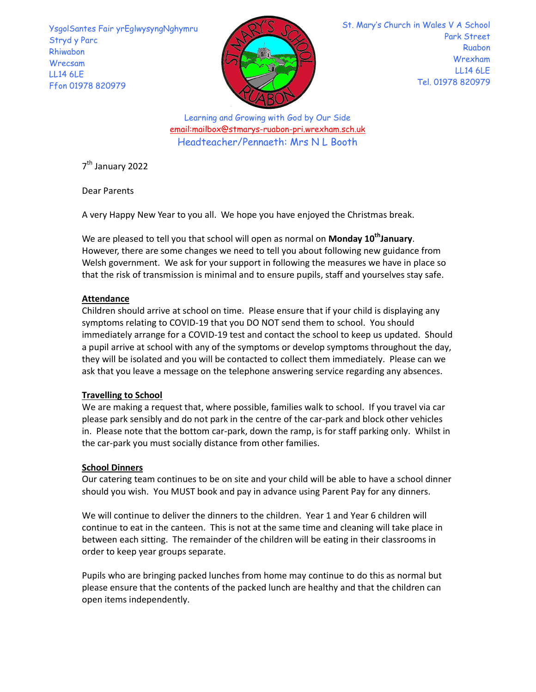YsgolSantes Fair yrEglwysyngNghymru Stryd y Parc Rhiwabon Wrecsam LL14 6LE Ffon 01978 820979



St. Mary's Church in Wales V A School Park Street Ruabon Wrexham LL14 6LE Tel. 01978 820979

Learning and Growing with God by Our Side email:mailbox@stmarys-ruabon-pri.wrexham.sch.uk Headteacher/Pennaeth: Mrs N L Booth

7 th January 2022

Dear Parents

A very Happy New Year to you all. We hope you have enjoyed the Christmas break.

We are pleased to tell you that school will open as normal on **Monday 10<sup>th</sup>January**.<br>However, there are some changes we need to tell you about following new guidance from Welsh government. We ask for your support in following the measures we have in place so that the risk of transmission is minimal and to ensure pupils, staff and yourselves stay safe.

# Attendance

Children should arrive at school on time. Please ensure that if your child is displaying any symptoms relating to COVID-19 that you DO NOT send them to school. You should immediately arrange for a COVID-19 test and contact the school to keep us updated. Should a pupil arrive at school with any of the symptoms or develop symptoms throughout the day, they will be isolated and you will be contacted to collect them immediately. Please can we ask that you leave a message on the telephone answering service regarding any absences.

# Travelling to School

We are making a request that, where possible, families walk to school. If you travel via car please park sensibly and do not park in the centre of the car-park and block other vehicles in. Please note that the bottom car-park, down the ramp, is for staff parking only. Whilst in the car-park you must socially distance from other families.

# School Dinners

Our catering team continues to be on site and your child will be able to have a school dinner should you wish. You MUST book and pay in advance using Parent Pay for any dinners.

We will continue to deliver the dinners to the children. Year 1 and Year 6 children will continue to eat in the canteen. This is not at the same time and cleaning will take place in between each sitting. The remainder of the children will be eating in their classrooms in order to keep year groups separate.

Pupils who are bringing packed lunches from home may continue to do this as normal but please ensure that the contents of the packed lunch are healthy and that the children can open items independently.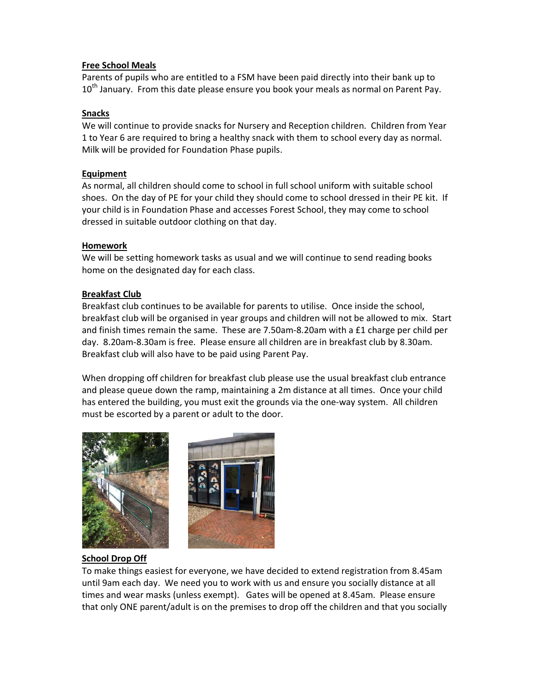### Free School Meals

Parents of pupils who are entitled to a FSM have been paid directly into their bank up to  $10^{th}$  January. From this date please ensure you book your meals as normal on Parent Pay.

# Snacks

We will continue to provide snacks for Nursery and Reception children. Children from Year 1 to Year 6 are required to bring a healthy snack with them to school every day as normal. Milk will be provided for Foundation Phase pupils.

# **Equipment**

As normal, all children should come to school in full school uniform with suitable school shoes. On the day of PE for your child they should come to school dressed in their PE kit. If your child is in Foundation Phase and accesses Forest School, they may come to school dressed in suitable outdoor clothing on that day.

# Homework

We will be setting homework tasks as usual and we will continue to send reading books home on the designated day for each class.

# Breakfast Club

Breakfast club continues to be available for parents to utilise. Once inside the school, breakfast club will be organised in year groups and children will not be allowed to mix. Start and finish times remain the same. These are 7.50am-8.20am with a £1 charge per child per day. 8.20am-8.30am is free. Please ensure all children are in breakfast club by 8.30am. Breakfast club will also have to be paid using Parent Pay.

When dropping off children for breakfast club please use the usual breakfast club entrance and please queue down the ramp, maintaining a 2m distance at all times. Once your child has entered the building, you must exit the grounds via the one-way system. All children must be escorted by a parent or adult to the door.





# School Drop Off

To make things easiest for everyone, we have decided to extend registration from 8.45am until 9am each day. We need you to work with us and ensure you socially distance at all times and wear masks (unless exempt). Gates will be opened at 8.45am. Please ensure that only ONE parent/adult is on the premises to drop off the children and that you socially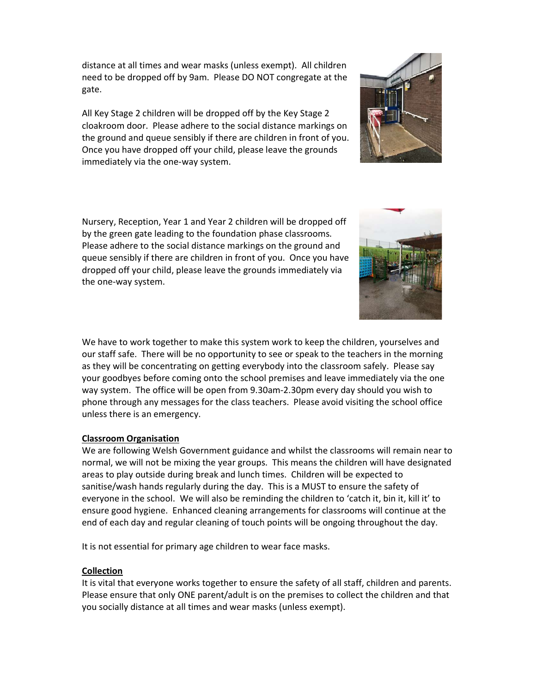distance at all times and wear masks (unless exempt). All children need to be dropped off by 9am. Please DO NOT congregate at the gate.

All Key Stage 2 children will be dropped off by the Key Stage 2 cloakroom door. Please adhere to the social distance markings on the ground and queue sensibly if there are children in front of you. Once you have dropped off your child, please leave the grounds immediately via the one-way system.

Nursery, Reception, Year 1 and Year 2 children will be dropped off by the green gate leading to the foundation phase classrooms. Please adhere to the social distance markings on the ground and queue sensibly if there are children in front of you. Once you have dropped off your child, please leave the grounds immediately via the one-way system.

We have to work together to make this system work to keep the children, yourselves and our staff safe. There will be no opportunity to see or speak to the teachers in the morning as they will be concentrating on getting everybody into the classroom safely. Please say your goodbyes before coming onto the school premises and leave immediately via the one way system. The office will be open from 9.30am-2.30pm every day should you wish to phone through any messages for the class teachers. Please avoid visiting the school office unless there is an emergency.

### Classroom Organisation

We are following Welsh Government guidance and whilst the classrooms will remain near to normal, we will not be mixing the year groups. This means the children will have designated areas to play outside during break and lunch times. Children will be expected to sanitise/wash hands regularly during the day. This is a MUST to ensure the safety of everyone in the school. We will also be reminding the children to 'catch it, bin it, kill it' to ensure good hygiene. Enhanced cleaning arrangements for classrooms will continue at the end of each day and regular cleaning of touch points will be ongoing throughout the day.

It is not essential for primary age children to wear face masks.

### Collection

It is vital that everyone works together to ensure the safety of all staff, children and parents. Please ensure that only ONE parent/adult is on the premises to collect the children and that you socially distance at all times and wear masks (unless exempt).



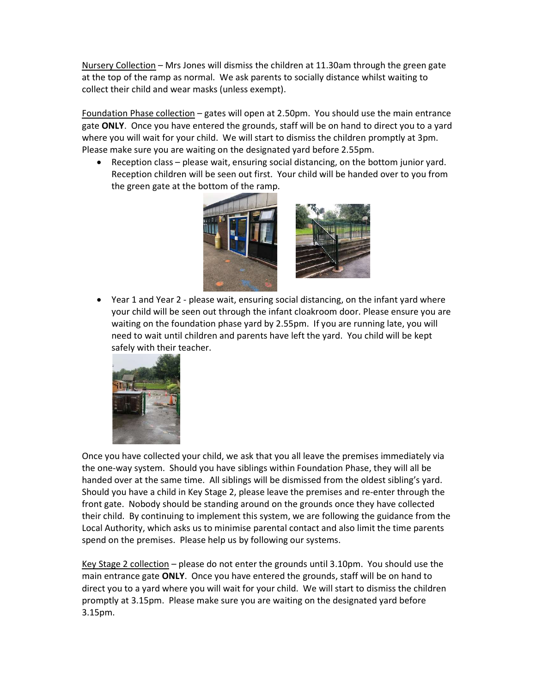Nursery Collection – Mrs Jones will dismiss the children at 11.30am through the green gate at the top of the ramp as normal. We ask parents to socially distance whilst waiting to collect their child and wear masks (unless exempt).

Foundation Phase collection - gates will open at 2.50pm. You should use the main entrance gate ONLY. Once you have entered the grounds, staff will be on hand to direct you to a yard where you will wait for your child. We will start to dismiss the children promptly at 3pm. Please make sure you are waiting on the designated yard before 2.55pm.

 Reception class – please wait, ensuring social distancing, on the bottom junior yard. Reception children will be seen out first. Your child will be handed over to you from the green gate at the bottom of the ramp.



 Year 1 and Year 2 - please wait, ensuring social distancing, on the infant yard where your child will be seen out through the infant cloakroom door. Please ensure you are waiting on the foundation phase yard by 2.55pm. If you are running late, you will need to wait until children and parents have left the yard. You child will be kept safely with their teacher.



Once you have collected your child, we ask that you all leave the premises immediately via the one-way system. Should you have siblings within Foundation Phase, they will all be handed over at the same time. All siblings will be dismissed from the oldest sibling's yard. Should you have a child in Key Stage 2, please leave the premises and re-enter through the front gate. Nobody should be standing around on the grounds once they have collected their child. By continuing to implement this system, we are following the guidance from the Local Authority, which asks us to minimise parental contact and also limit the time parents spend on the premises. Please help us by following our systems.

Key Stage 2 collection – please do not enter the grounds until 3.10pm. You should use the main entrance gate ONLY. Once you have entered the grounds, staff will be on hand to direct you to a yard where you will wait for your child. We will start to dismiss the children promptly at 3.15pm. Please make sure you are waiting on the designated yard before 3.15pm.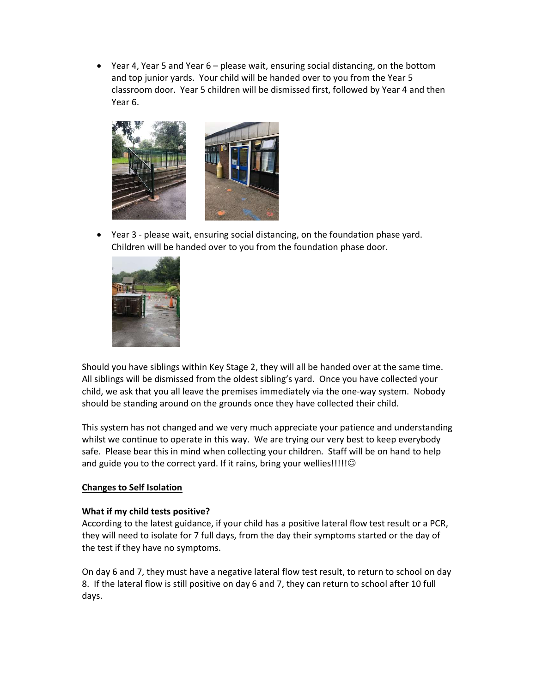Year 4, Year 5 and Year 6 – please wait, ensuring social distancing, on the bottom and top junior yards. Your child will be handed over to you from the Year 5 classroom door. Year 5 children will be dismissed first, followed by Year 4 and then Year 6.



 Year 3 - please wait, ensuring social distancing, on the foundation phase yard. Children will be handed over to you from the foundation phase door.



Should you have siblings within Key Stage 2, they will all be handed over at the same time. All siblings will be dismissed from the oldest sibling's yard. Once you have collected your child, we ask that you all leave the premises immediately via the one-way system. Nobody should be standing around on the grounds once they have collected their child.

This system has not changed and we very much appreciate your patience and understanding whilst we continue to operate in this way. We are trying our very best to keep everybody safe. Please bear this in mind when collecting your children. Staff will be on hand to help and guide you to the correct yard. If it rains, bring your wellies!!!!!  $\odot$ 

### Changes to Self Isolation

### What if my child tests positive?

According to the latest guidance, if your child has a positive lateral flow test result or a PCR, they will need to isolate for 7 full days, from the day their symptoms started or the day of the test if they have no symptoms.

On day 6 and 7, they must have a negative lateral flow test result, to return to school on day 8. If the lateral flow is still positive on day 6 and 7, they can return to school after 10 full days.